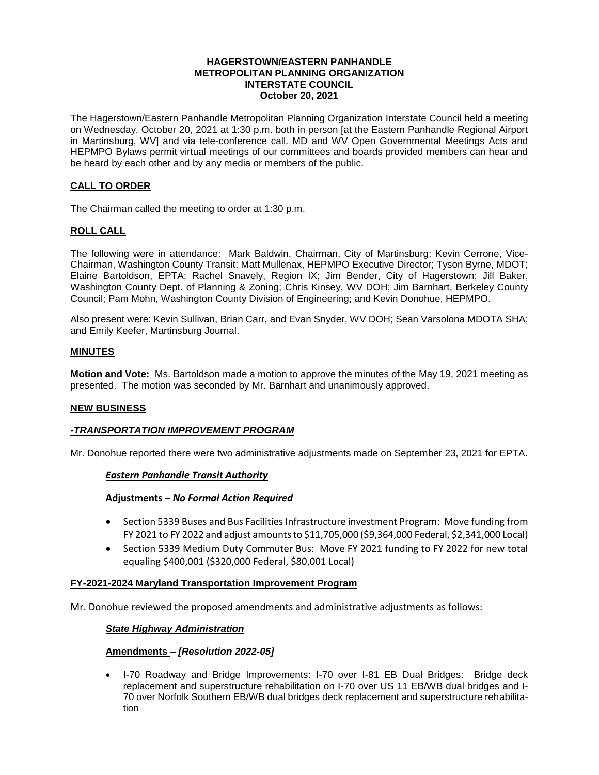#### **HAGERSTOWN/EASTERN PANHANDLE METROPOLITAN PLANNING ORGANIZATION INTERSTATE COUNCIL October 20, 2021**

The Hagerstown/Eastern Panhandle Metropolitan Planning Organization Interstate Council held a meeting on Wednesday, October 20, 2021 at 1:30 p.m. both in person [at the Eastern Panhandle Regional Airport in Martinsburg, WV] and via tele-conference call. MD and WV Open Governmental Meetings Acts and HEPMPO Bylaws permit virtual meetings of our committees and boards provided members can hear and be heard by each other and by any media or members of the public.

# **CALL TO ORDER**

The Chairman called the meeting to order at 1:30 p.m.

# **ROLL CALL**

The following were in attendance: Mark Baldwin, Chairman, City of Martinsburg; Kevin Cerrone, Vice-Chairman, Washington County Transit; Matt Mullenax, HEPMPO Executive Director; Tyson Byrne, MDOT; Elaine Bartoldson, EPTA; Rachel Snavely, Region IX; Jim Bender, City of Hagerstown; Jill Baker, Washington County Dept. of Planning & Zoning; Chris Kinsey, WV DOH; Jim Barnhart, Berkeley County Council; Pam Mohn, Washington County Division of Engineering; and Kevin Donohue, HEPMPO.

Also present were: Kevin Sullivan, Brian Carr, and Evan Snyder, WV DOH; Sean Varsolona MDOTA SHA; and Emily Keefer, Martinsburg Journal.

### **MINUTES**

**Motion and Vote:** Ms. Bartoldson made a motion to approve the minutes of the May 19, 2021 meeting as presented. The motion was seconded by Mr. Barnhart and unanimously approved.

#### **NEW BUSINESS**

#### *-TRANSPORTATION IMPROVEMENT PROGRAM*

Mr. Donohue reported there were two administrative adjustments made on September 23, 2021 for EPTA.

#### *Eastern Panhandle Transit Authority*

#### **Adjustments –** *No Formal Action Required*

- Section 5339 Buses and Bus Facilities Infrastructure investment Program: Move funding from FY 2021 to FY 2022 and adjust amounts to \$11,705,000 (\$9,364,000 Federal, \$2,341,000 Local)
- Section 5339 Medium Duty Commuter Bus: Move FY 2021 funding to FY 2022 for new total equaling \$400,001 (\$320,000 Federal, \$80,001 Local)

#### **FY-2021-2024 Maryland Transportation Improvement Program**

Mr. Donohue reviewed the proposed amendments and administrative adjustments as follows:

#### *State Highway Administration*

#### **Amendments –** *[Resolution 2022-05]*

• I-70 Roadway and Bridge Improvements: I-70 over I-81 EB Dual Bridges: Bridge deck replacement and superstructure rehabilitation on I-70 over US 11 EB/WB dual bridges and I-70 over Norfolk Southern EB/WB dual bridges deck replacement and superstructure rehabilitation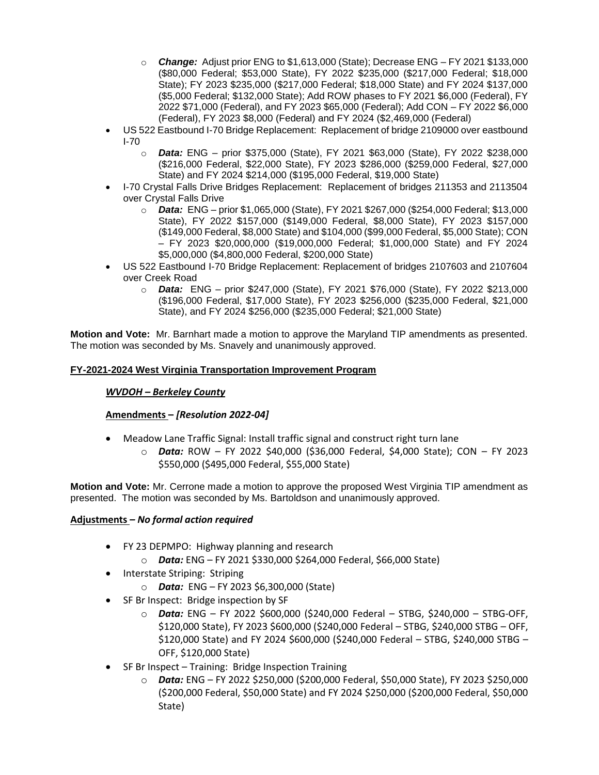- o *Change:* Adjust prior ENG to \$1,613,000 (State); Decrease ENG FY 2021 \$133,000 (\$80,000 Federal; \$53,000 State), FY 2022 \$235,000 (\$217,000 Federal; \$18,000 State); FY 2023 \$235,000 (\$217,000 Federal; \$18,000 State) and FY 2024 \$137,000 (\$5,000 Federal; \$132,000 State); Add ROW phases to FY 2021 \$6,000 (Federal), FY 2022 \$71,000 (Federal), and FY 2023 \$65,000 (Federal); Add CON – FY 2022 \$6,000 (Federal), FY 2023 \$8,000 (Federal) and FY 2024 (\$2,469,000 (Federal)
- US 522 Eastbound I-70 Bridge Replacement: Replacement of bridge 2109000 over eastbound I-70
	- o *Data:* ENG prior \$375,000 (State), FY 2021 \$63,000 (State), FY 2022 \$238,000 (\$216,000 Federal, \$22,000 State), FY 2023 \$286,000 (\$259,000 Federal, \$27,000 State) and FY 2024 \$214,000 (\$195,000 Federal, \$19,000 State)
- I-70 Crystal Falls Drive Bridges Replacement: Replacement of bridges 211353 and 2113504 over Crystal Falls Drive
	- o *Data:* ENG prior \$1,065,000 (State), FY 2021 \$267,000 (\$254,000 Federal; \$13,000 State), FY 2022 \$157,000 (\$149,000 Federal, \$8,000 State), FY 2023 \$157,000 (\$149,000 Federal, \$8,000 State) and \$104,000 (\$99,000 Federal, \$5,000 State); CON – FY 2023 \$20,000,000 (\$19,000,000 Federal; \$1,000,000 State) and FY 2024 \$5,000,000 (\$4,800,000 Federal, \$200,000 State)
- US 522 Eastbound I-70 Bridge Replacement: Replacement of bridges 2107603 and 2107604 over Creek Road
	- o *Data:* ENG prior \$247,000 (State), FY 2021 \$76,000 (State), FY 2022 \$213,000 (\$196,000 Federal, \$17,000 State), FY 2023 \$256,000 (\$235,000 Federal, \$21,000 State), and FY 2024 \$256,000 (\$235,000 Federal; \$21,000 State)

**Motion and Vote:** Mr. Barnhart made a motion to approve the Maryland TIP amendments as presented. The motion was seconded by Ms. Snavely and unanimously approved.

# **FY-2021-2024 West Virginia Transportation Improvement Program**

# *WVDOH – Berkeley County*

# **Amendments –** *[Resolution 2022-04]*

- Meadow Lane Traffic Signal: Install traffic signal and construct right turn lane
	- o *Data:* ROW FY 2022 \$40,000 (\$36,000 Federal, \$4,000 State); CON FY 2023 \$550,000 (\$495,000 Federal, \$55,000 State)

**Motion and Vote:** Mr. Cerrone made a motion to approve the proposed West Virginia TIP amendment as presented. The motion was seconded by Ms. Bartoldson and unanimously approved.

# **Adjustments** *– No formal action required*

- FY 23 DEPMPO: Highway planning and research
	- o *Data:* ENG FY 2021 \$330,000 \$264,000 Federal, \$66,000 State)
- Interstate Striping: Striping
	- o *Data:* ENG FY 2023 \$6,300,000 (State)
- SF Br Inspect: Bridge inspection by SF
	- o *Data:* ENG FY 2022 \$600,000 (\$240,000 Federal STBG, \$240,000 STBG-OFF, \$120,000 State), FY 2023 \$600,000 (\$240,000 Federal – STBG, \$240,000 STBG – OFF, \$120,000 State) and FY 2024 \$600,000 (\$240,000 Federal – STBG, \$240,000 STBG – OFF, \$120,000 State)
- SF Br Inspect Training: Bridge Inspection Training
	- o *Data:* ENG FY 2022 \$250,000 (\$200,000 Federal, \$50,000 State), FY 2023 \$250,000 (\$200,000 Federal, \$50,000 State) and FY 2024 \$250,000 (\$200,000 Federal, \$50,000 State)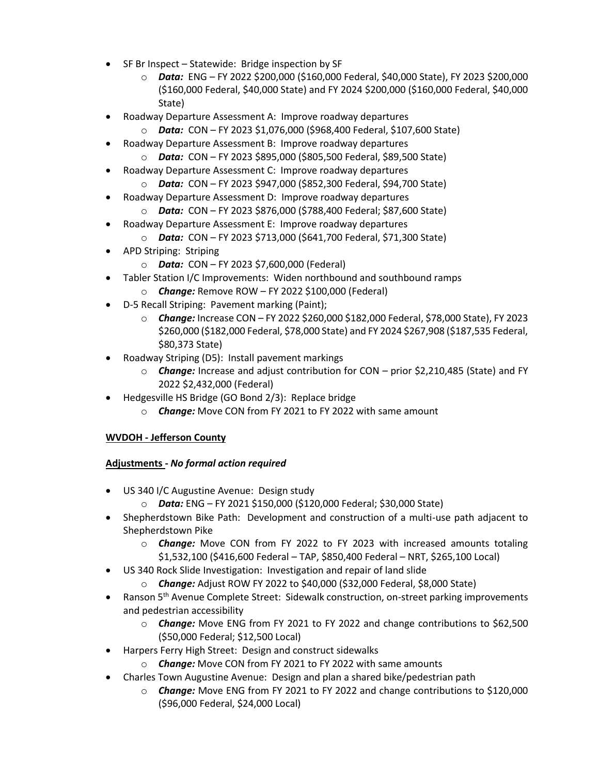- SF Br Inspect Statewide: Bridge inspection by SF
	- o *Data:* ENG FY 2022 \$200,000 (\$160,000 Federal, \$40,000 State), FY 2023 \$200,000 (\$160,000 Federal, \$40,000 State) and FY 2024 \$200,000 (\$160,000 Federal, \$40,000 State)
- Roadway Departure Assessment A: Improve roadway departures
	- o *Data:* CON FY 2023 \$1,076,000 (\$968,400 Federal, \$107,600 State)
- Roadway Departure Assessment B: Improve roadway departures
- o *Data:* CON FY 2023 \$895,000 (\$805,500 Federal, \$89,500 State)
- Roadway Departure Assessment C: Improve roadway departures
	- o *Data:* CON FY 2023 \$947,000 (\$852,300 Federal, \$94,700 State)
- Roadway Departure Assessment D: Improve roadway departures
	- o *Data:* CON FY 2023 \$876,000 (\$788,400 Federal; \$87,600 State)
	- Roadway Departure Assessment E: Improve roadway departures
		- o *Data:* CON FY 2023 \$713,000 (\$641,700 Federal, \$71,300 State)
- APD Striping: Striping
	- o *Data:* CON FY 2023 \$7,600,000 (Federal)
- Tabler Station I/C Improvements: Widen northbound and southbound ramps
	- o *Change:* Remove ROW FY 2022 \$100,000 (Federal)
- D-5 Recall Striping: Pavement marking (Paint);
	- o *Change:* Increase CON FY 2022 \$260,000 \$182,000 Federal, \$78,000 State), FY 2023 \$260,000 (\$182,000 Federal, \$78,000 State) and FY 2024 \$267,908 (\$187,535 Federal, \$80,373 State)
- Roadway Striping (D5): Install pavement markings
	- o *Change:* Increase and adjust contribution for CON prior \$2,210,485 (State) and FY 2022 \$2,432,000 (Federal)
- Hedgesville HS Bridge (GO Bond 2/3): Replace bridge
	- o *Change:* Move CON from FY 2021 to FY 2022 with same amount

# **WVDOH - Jefferson County**

# **Adjustments -** *No formal action required*

- US 340 I/C Augustine Avenue: Design study
	- o *Data:* ENG FY 2021 \$150,000 (\$120,000 Federal; \$30,000 State)
- Shepherdstown Bike Path: Development and construction of a multi-use path adjacent to Shepherdstown Pike
	- o *Change:* Move CON from FY 2022 to FY 2023 with increased amounts totaling \$1,532,100 (\$416,600 Federal – TAP, \$850,400 Federal – NRT, \$265,100 Local)
- US 340 Rock Slide Investigation: Investigation and repair of land slide
	- o *Change:* Adjust ROW FY 2022 to \$40,000 (\$32,000 Federal, \$8,000 State)
- Ranson 5<sup>th</sup> Avenue Complete Street: Sidewalk construction, on-street parking improvements and pedestrian accessibility
	- o *Change:* Move ENG from FY 2021 to FY 2022 and change contributions to \$62,500 (\$50,000 Federal; \$12,500 Local)
- Harpers Ferry High Street: Design and construct sidewalks
	- o *Change:* Move CON from FY 2021 to FY 2022 with same amounts
- Charles Town Augustine Avenue: Design and plan a shared bike/pedestrian path
	- o *Change:* Move ENG from FY 2021 to FY 2022 and change contributions to \$120,000 (\$96,000 Federal, \$24,000 Local)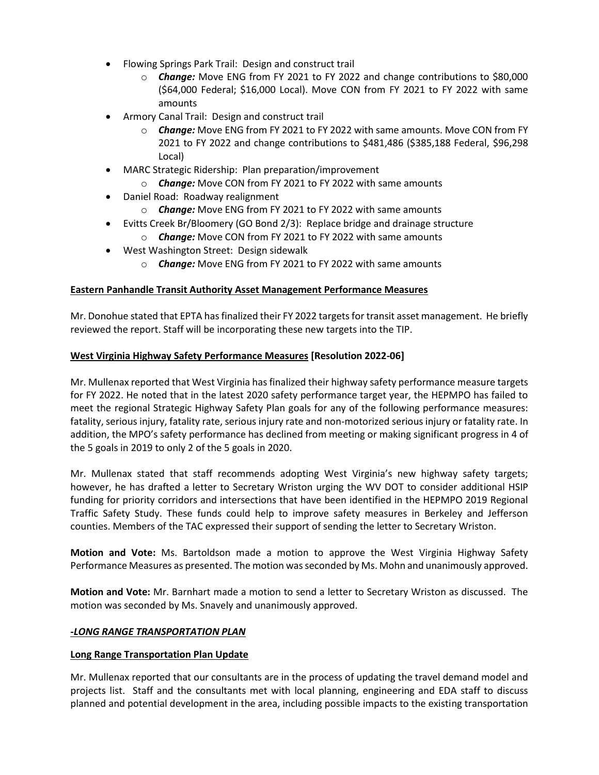- Flowing Springs Park Trail: Design and construct trail
	- o *Change:* Move ENG from FY 2021 to FY 2022 and change contributions to \$80,000 (\$64,000 Federal; \$16,000 Local). Move CON from FY 2021 to FY 2022 with same amounts
- Armory Canal Trail: Design and construct trail
	- o *Change:* Move ENG from FY 2021 to FY 2022 with same amounts. Move CON from FY 2021 to FY 2022 and change contributions to \$481,486 (\$385,188 Federal, \$96,298 Local)
- MARC Strategic Ridership: Plan preparation/improvement
	- o *Change:* Move CON from FY 2021 to FY 2022 with same amounts
- Daniel Road: Roadway realignment
	- o *Change:* Move ENG from FY 2021 to FY 2022 with same amounts
- Evitts Creek Br/Bloomery (GO Bond 2/3): Replace bridge and drainage structure o *Change:* Move CON from FY 2021 to FY 2022 with same amounts
- West Washington Street: Design sidewalk
	- o *Change:* Move ENG from FY 2021 to FY 2022 with same amounts

# **Eastern Panhandle Transit Authority Asset Management Performance Measures**

Mr. Donohue stated that EPTA has finalized their FY 2022 targets for transit asset management. He briefly reviewed the report. Staff will be incorporating these new targets into the TIP.

# **West Virginia Highway Safety Performance Measures [Resolution 2022-06]**

Mr. Mullenax reported that West Virginia has finalized their highway safety performance measure targets for FY 2022. He noted that in the latest 2020 safety performance target year, the HEPMPO has failed to meet the regional Strategic Highway Safety Plan goals for any of the following performance measures: fatality, serious injury, fatality rate, serious injury rate and non-motorized serious injury or fatality rate. In addition, the MPO's safety performance has declined from meeting or making significant progress in 4 of the 5 goals in 2019 to only 2 of the 5 goals in 2020.

Mr. Mullenax stated that staff recommends adopting West Virginia's new highway safety targets; however, he has drafted a letter to Secretary Wriston urging the WV DOT to consider additional HSIP funding for priority corridors and intersections that have been identified in the HEPMPO 2019 Regional Traffic Safety Study. These funds could help to improve safety measures in Berkeley and Jefferson counties. Members of the TAC expressed their support of sending the letter to Secretary Wriston.

**Motion and Vote:** Ms. Bartoldson made a motion to approve the West Virginia Highway Safety Performance Measures as presented. The motion was seconded by Ms. Mohn and unanimously approved.

**Motion and Vote:** Mr. Barnhart made a motion to send a letter to Secretary Wriston as discussed. The motion was seconded by Ms. Snavely and unanimously approved.

# *-LONG RANGE TRANSPORTATION PLAN*

# **Long Range Transportation Plan Update**

Mr. Mullenax reported that our consultants are in the process of updating the travel demand model and projects list. Staff and the consultants met with local planning, engineering and EDA staff to discuss planned and potential development in the area, including possible impacts to the existing transportation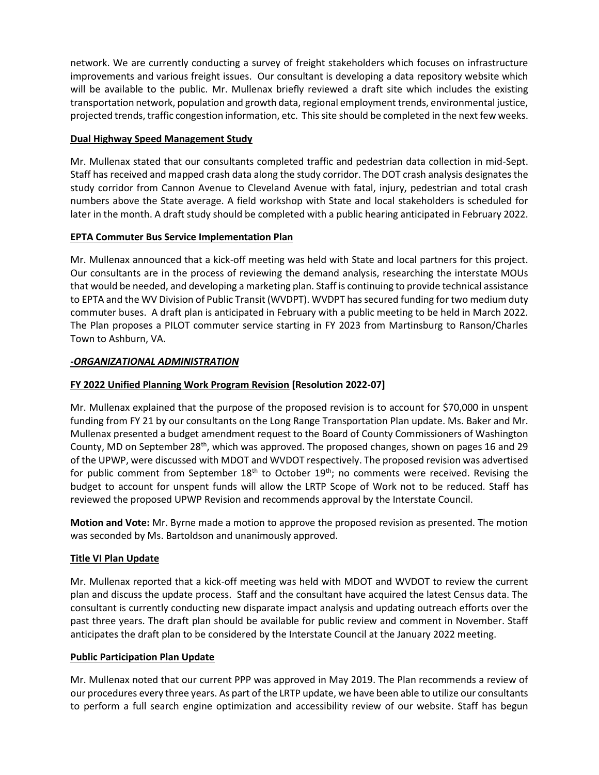network. We are currently conducting a survey of freight stakeholders which focuses on infrastructure improvements and various freight issues. Our consultant is developing a data repository website which will be available to the public. Mr. Mullenax briefly reviewed a draft site which includes the existing transportation network, population and growth data, regional employment trends, environmental justice, projected trends, traffic congestion information, etc. This site should be completed in the next few weeks.

# **Dual Highway Speed Management Study**

Mr. Mullenax stated that our consultants completed traffic and pedestrian data collection in mid-Sept. Staff has received and mapped crash data along the study corridor. The DOT crash analysis designates the study corridor from Cannon Avenue to Cleveland Avenue with fatal, injury, pedestrian and total crash numbers above the State average. A field workshop with State and local stakeholders is scheduled for later in the month. A draft study should be completed with a public hearing anticipated in February 2022.

# **EPTA Commuter Bus Service Implementation Plan**

Mr. Mullenax announced that a kick-off meeting was held with State and local partners for this project. Our consultants are in the process of reviewing the demand analysis, researching the interstate MOUs that would be needed, and developing a marketing plan. Staff is continuing to provide technical assistance to EPTA and the WV Division of Public Transit (WVDPT). WVDPT has secured funding for two medium duty commuter buses. A draft plan is anticipated in February with a public meeting to be held in March 2022. The Plan proposes a PILOT commuter service starting in FY 2023 from Martinsburg to Ranson/Charles Town to Ashburn, VA.

# *-ORGANIZATIONAL ADMINISTRATION*

# **FY 2022 Unified Planning Work Program Revision [Resolution 2022-07]**

Mr. Mullenax explained that the purpose of the proposed revision is to account for \$70,000 in unspent funding from FY 21 by our consultants on the Long Range Transportation Plan update. Ms. Baker and Mr. Mullenax presented a budget amendment request to the Board of County Commissioners of Washington County, MD on September 28<sup>th</sup>, which was approved. The proposed changes, shown on pages 16 and 29 of the UPWP, were discussed with MDOT and WVDOT respectively. The proposed revision was advertised for public comment from September 18<sup>th</sup> to October 19<sup>th</sup>; no comments were received. Revising the budget to account for unspent funds will allow the LRTP Scope of Work not to be reduced. Staff has reviewed the proposed UPWP Revision and recommends approval by the Interstate Council.

**Motion and Vote:** Mr. Byrne made a motion to approve the proposed revision as presented. The motion was seconded by Ms. Bartoldson and unanimously approved.

# **Title VI Plan Update**

Mr. Mullenax reported that a kick-off meeting was held with MDOT and WVDOT to review the current plan and discuss the update process. Staff and the consultant have acquired the latest Census data. The consultant is currently conducting new disparate impact analysis and updating outreach efforts over the past three years. The draft plan should be available for public review and comment in November. Staff anticipates the draft plan to be considered by the Interstate Council at the January 2022 meeting.

# **Public Participation Plan Update**

Mr. Mullenax noted that our current PPP was approved in May 2019. The Plan recommends a review of our procedures every three years. As part of the LRTP update, we have been able to utilize our consultants to perform a full search engine optimization and accessibility review of our website. Staff has begun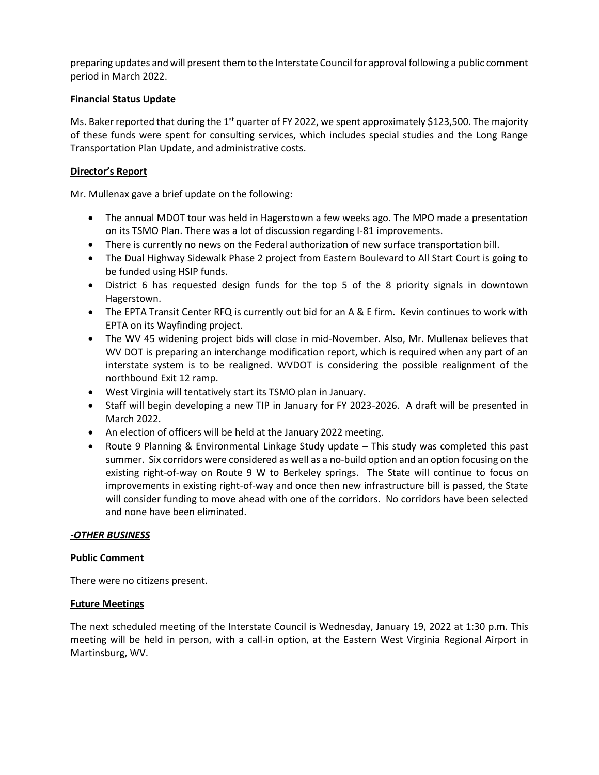preparing updates and will present them to the Interstate Council for approval following a public comment period in March 2022.

# **Financial Status Update**

Ms. Baker reported that during the 1<sup>st</sup> quarter of FY 2022, we spent approximately \$123,500. The majority of these funds were spent for consulting services, which includes special studies and the Long Range Transportation Plan Update, and administrative costs.

# **Director's Report**

Mr. Mullenax gave a brief update on the following:

- The annual MDOT tour was held in Hagerstown a few weeks ago. The MPO made a presentation on its TSMO Plan. There was a lot of discussion regarding I-81 improvements.
- There is currently no news on the Federal authorization of new surface transportation bill.
- The Dual Highway Sidewalk Phase 2 project from Eastern Boulevard to All Start Court is going to be funded using HSIP funds.
- District 6 has requested design funds for the top 5 of the 8 priority signals in downtown Hagerstown.
- The EPTA Transit Center RFQ is currently out bid for an A & E firm. Kevin continues to work with EPTA on its Wayfinding project.
- The WV 45 widening project bids will close in mid-November. Also, Mr. Mullenax believes that WV DOT is preparing an interchange modification report, which is required when any part of an interstate system is to be realigned. WVDOT is considering the possible realignment of the northbound Exit 12 ramp.
- West Virginia will tentatively start its TSMO plan in January.
- Staff will begin developing a new TIP in January for FY 2023-2026. A draft will be presented in March 2022.
- An election of officers will be held at the January 2022 meeting.
- Route 9 Planning & Environmental Linkage Study update This study was completed this past summer. Six corridors were considered as well as a no-build option and an option focusing on the existing right-of-way on Route 9 W to Berkeley springs. The State will continue to focus on improvements in existing right-of-way and once then new infrastructure bill is passed, the State will consider funding to move ahead with one of the corridors. No corridors have been selected and none have been eliminated.

# *-OTHER BUSINESS*

# **Public Comment**

There were no citizens present.

# **Future Meetings**

The next scheduled meeting of the Interstate Council is Wednesday, January 19, 2022 at 1:30 p.m. This meeting will be held in person, with a call-in option, at the Eastern West Virginia Regional Airport in Martinsburg, WV.